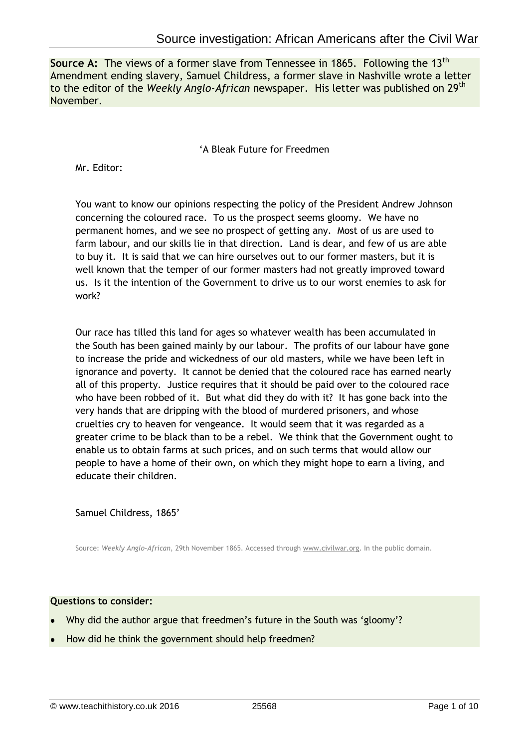**Source A:** The views of a former slave from Tennessee in 1865. Following the 13<sup>th</sup> Amendment ending slavery, Samuel Childress, a former slave in Nashville wrote a letter to the editor of the *Weekly Anglo-African* newspaper. His letter was published on 29th November.

# 'A Bleak Future for Freedmen

Mr. Editor:

You want to know our opinions respecting the policy of the President Andrew Johnson concerning the coloured race. To us the prospect seems gloomy. We have no permanent homes, and we see no prospect of getting any. Most of us are used to farm labour, and our skills lie in that direction. Land is dear, and few of us are able to buy it. It is said that we can hire ourselves out to our former masters, but it is well known that the temper of our former masters had not greatly improved toward us. Is it the intention of the Government to drive us to our worst enemies to ask for work?

Our race has tilled this land for ages so whatever wealth has been accumulated in the South has been gained mainly by our labour. The profits of our labour have gone to increase the pride and wickedness of our old masters, while we have been left in ignorance and poverty. It cannot be denied that the coloured race has earned nearly all of this property. Justice requires that it should be paid over to the coloured race who have been robbed of it. But what did they do with it? It has gone back into the very hands that are dripping with the blood of murdered prisoners, and whose cruelties cry to heaven for vengeance. It would seem that it was regarded as a greater crime to be black than to be a rebel. We think that the Government ought to enable us to obtain farms at such prices, and on such terms that would allow our people to have a home of their own, on which they might hope to earn a living, and educate their children.

Samuel Childress, 1865'

Source: *Weekly Anglo-African*, 29th November 1865. Accessed through [www.civilwar.org.](http://www.civilwar.org/) In the public domain.

- Why did the author argue that freedmen's future in the South was 'gloomy'?
- How did he think the government should help freedmen?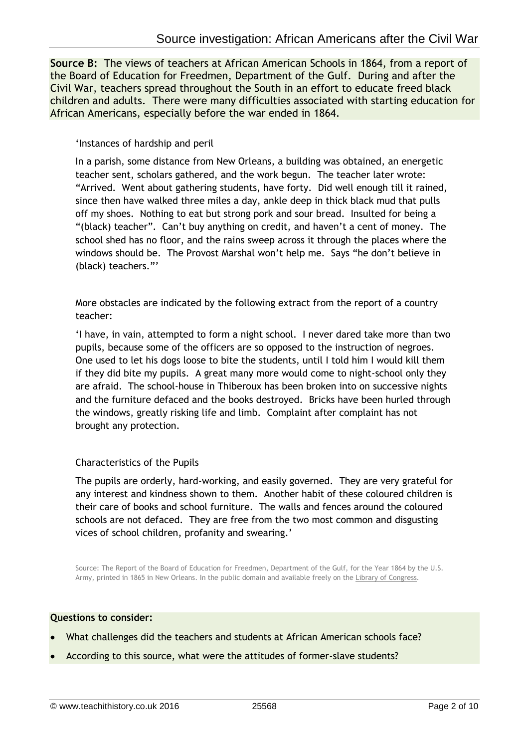**Source B:** The views of teachers at African American Schools in 1864, from a report of the Board of Education for Freedmen, Department of the Gulf. During and after the Civil War, teachers spread throughout the South in an effort to educate freed black children and adults. There were many difficulties associated with starting education for African Americans, especially before the war ended in 1864.

'Instances of hardship and peril

In a parish, some distance from New Orleans, a building was obtained, an energetic teacher sent, scholars gathered, and the work begun. The teacher later wrote: "Arrived. Went about gathering students, have forty. Did well enough till it rained, since then have walked three miles a day, ankle deep in thick black mud that pulls off my shoes. Nothing to eat but strong pork and sour bread. Insulted for being a "(black) teacher". Can't buy anything on credit, and haven't a cent of money. The school shed has no floor, and the rains sweep across it through the places where the windows should be. The Provost Marshal won't help me. Says "he don't believe in (black) teachers."'

More obstacles are indicated by the following extract from the report of a country teacher:

'I have, in vain, attempted to form a night school. I never dared take more than two pupils, because some of the officers are so opposed to the instruction of negroes. One used to let his dogs loose to bite the students, until I told him I would kill them if they did bite my pupils. A great many more would come to night-school only they are afraid. The school-house in Thiberoux has been broken into on successive nights and the furniture defaced and the books destroyed. Bricks have been hurled through the windows, greatly risking life and limb. Complaint after complaint has not brought any protection.

# Characteristics of the Pupils

The pupils are orderly, hard-working, and easily governed. They are very grateful for any interest and kindness shown to them. Another habit of these coloured children is their care of books and school furniture. The walls and fences around the coloured schools are not defaced. They are free from the two most common and disgusting vices of school children, profanity and swearing.'

Source: The Report of the Board of Education for Freedmen, Department of the Gulf, for the Year 1864 by the U.S. Army, printed in 1865 in New Orleans. In the public domain and available freely on the [Library of Congress.](http://memory.loc.gov/cgi-bin/query/r?ammem/murray:@field(DOCID+@lit(lcrbmrpt2315)))

- What challenges did the teachers and students at African American schools face?
- According to this source, what were the attitudes of former-slave students?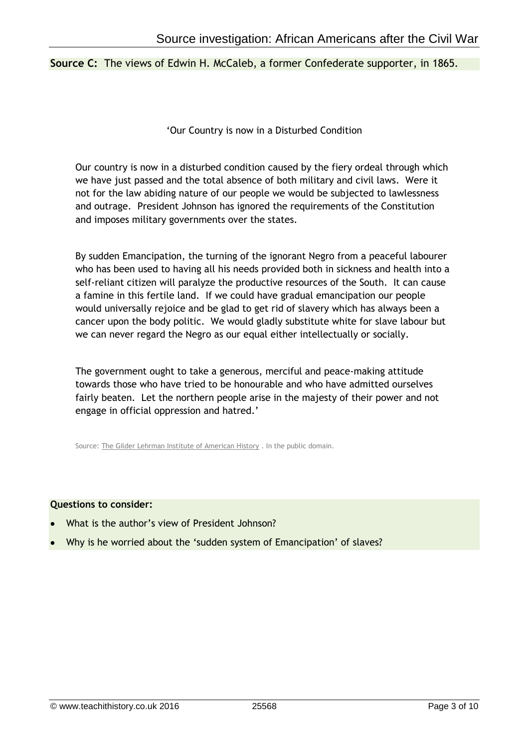### **Source C:** The views of Edwin H. McCaleb, a former Confederate supporter, in 1865.

'Our Country is now in a Disturbed Condition

Our country is now in a disturbed condition caused by the fiery ordeal through which we have just passed and the total absence of both military and civil laws. Were it not for the law abiding nature of our people we would be subjected to lawlessness and outrage. President Johnson has ignored the requirements of the Constitution and imposes military governments over the states.

By sudden Emancipation, the turning of the ignorant Negro from a peaceful labourer who has been used to having all his needs provided both in sickness and health into a self-reliant citizen will paralyze the productive resources of the South. It can cause a famine in this fertile land. If we could have gradual emancipation our people would universally rejoice and be glad to get rid of slavery which has always been a cancer upon the body politic. We would gladly substitute white for slave labour but we can never regard the Negro as our equal either intellectually or socially.

The government ought to take a generous, merciful and peace-making attitude towards those who have tried to be honourable and who have admitted ourselves fairly beaten. Let the northern people arise in the majesty of their power and not engage in official oppression and hatred.'

Source: [The Gilder Lehrman Institute of American History](https://www.gilderlehrman.org/collections/9859b731-a9b5-4564-9347-769452117867) . In the public domain.

- What is the author's view of President Johnson?
- Why is he worried about the 'sudden system of Emancipation' of slaves?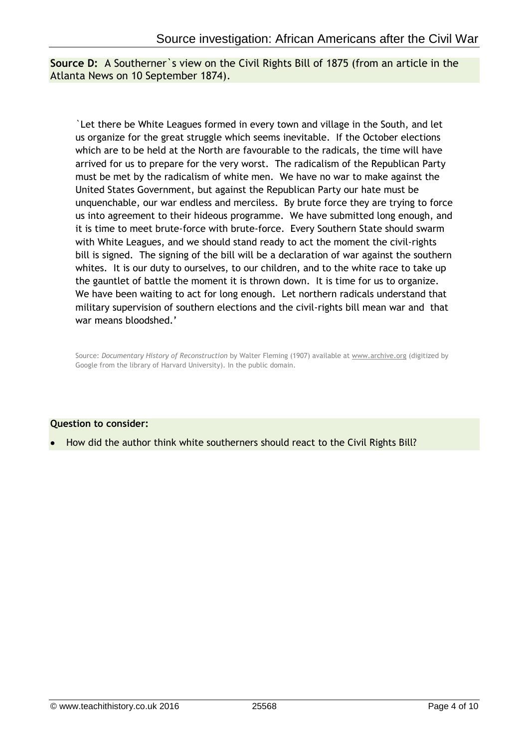**Source D:** A Southerner`s view on the Civil Rights Bill of 1875 (from an article in the Atlanta News on 10 September 1874).

`Let there be White Leagues formed in every town and village in the South, and let us organize for the great struggle which seems inevitable. If the October elections which are to be held at the North are favourable to the radicals, the time will have arrived for us to prepare for the very worst. The radicalism of the Republican Party must be met by the radicalism of white men. We have no war to make against the United States Government, but against the Republican Party our hate must be unquenchable, our war endless and merciless. By brute force they are trying to force us into agreement to their hideous programme. We have submitted long enough, and it is time to meet brute-force with brute-force. Every Southern State should swarm with White Leagues, and we should stand ready to act the moment the civil-rights bill is signed. The signing of the bill will be a declaration of war against the southern whites. It is our duty to ourselves, to our children, and to the white race to take up the gauntlet of battle the moment it is thrown down. It is time for us to organize. We have been waiting to act for long enough. Let northern radicals understand that military supervision of southern elections and the civil-rights bill mean war and that war means bloodshed.'

Source: *Documentary History of Reconstruction* by Walter Fleming (1907) available at [www.archive.org](http://www.archive.org/stream/documentaryhist02unkngoog/documentaryhist02unkngoog_djvu.txtwww.archive.org) (digitized by Google from the library of Harvard University). In the public domain.

# **Question to consider:**

How did the author think white southerners should react to the Civil Rights Bill?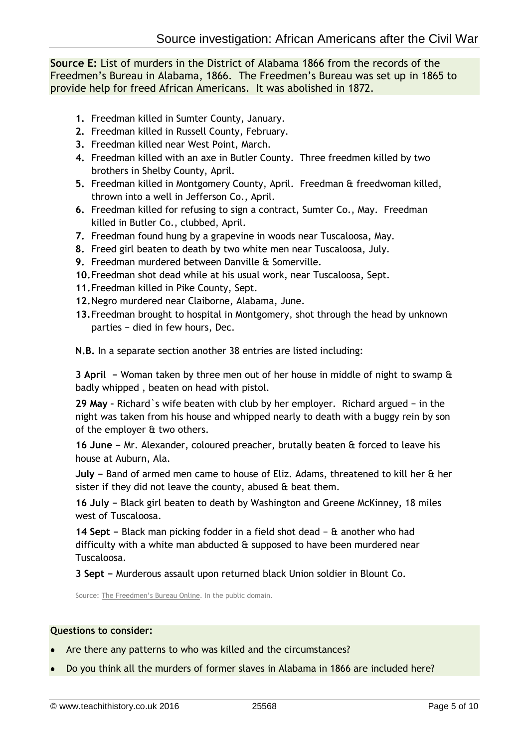**Source E:** List of murders in the District of Alabama 1866 from the records of the Freedmen's Bureau in Alabama, 1866. The Freedmen's Bureau was set up in 1865 to provide help for freed African Americans. It was abolished in 1872.

- **1.** Freedman killed in Sumter County, January.
- **2.** Freedman killed in Russell County, February.
- **3.** Freedman killed near West Point, March.
- **4.** Freedman killed with an axe in Butler County. Three freedmen killed by two brothers in Shelby County, April.
- **5.** Freedman killed in Montgomery County, April. Freedman & freedwoman killed, thrown into a well in Jefferson Co., April.
- **6.** Freedman killed for refusing to sign a contract, Sumter Co., May. Freedman killed in Butler Co., clubbed, April.
- **7.** Freedman found hung by a grapevine in woods near Tuscaloosa, May.
- **8.** Freed girl beaten to death by two white men near Tuscaloosa, July.
- **9.** Freedman murdered between Danville & Somerville.
- **10.**Freedman shot dead while at his usual work, near Tuscaloosa, Sept.
- **11.**Freedman killed in Pike County, Sept.
- **12.**Negro murdered near Claiborne, Alabama, June.
- **13.**Freedman brought to hospital in Montgomery, shot through the head by unknown parties − died in few hours, Dec.

**N.B.** In a separate section another 38 entries are listed including:

**3 April −** Woman taken by three men out of her house in middle of night to swamp & badly whipped , beaten on head with pistol.

**29 May –** Richard`s wife beaten with club by her employer. Richard argued − in the night was taken from his house and whipped nearly to death with a buggy rein by son of the employer & two others.

**16 June −** Mr. Alexander, coloured preacher, brutally beaten & forced to leave his house at Auburn, Ala.

**July −** Band of armed men came to house of Eliz. Adams, threatened to kill her & her sister if they did not leave the county, abused & beat them.

**16 July −** Black girl beaten to death by Washington and Greene McKinney, 18 miles west of Tuscaloosa.

**14 Sept −** Black man picking fodder in a field shot dead − & another who had difficulty with a white man abducted  $\theta$  supposed to have been murdered near Tuscaloosa.

**3 Sept −** Murderous assault upon returned black Union soldier in Blount Co.

Source: [The Freedmen's Bureau Online](http://freedmensbureau.com/alabama/alaoutrages.htm). In the public domain.

- Are there any patterns to who was killed and the circumstances?
- Do you think all the murders of former slaves in Alabama in 1866 are included here?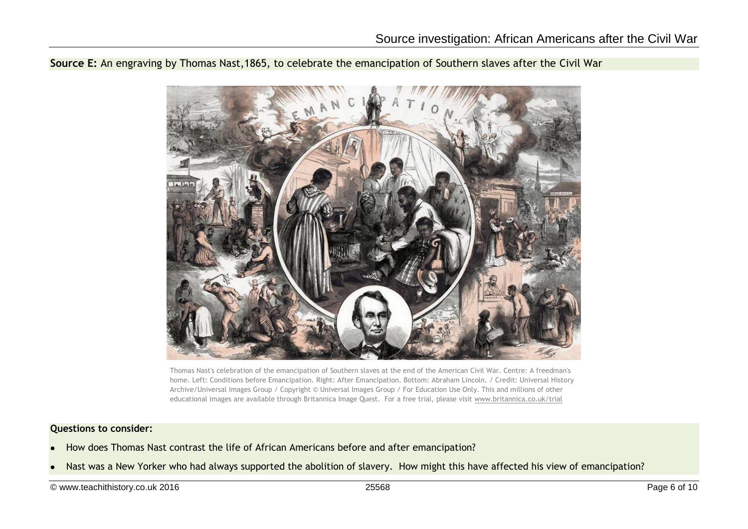**Source E:** An engraving by Thomas Nast,1865, to celebrate the emancipation of Southern slaves after the Civil War



Thomas Nast's celebration of the emancipation of Southern slaves at the end of the American Civil War. Centre: A freedman's home. Left: Conditions before Emancipation. Right: After Emancipation. Bottom: Abraham Lincoln. / Credit: Universal History Archive/Universal Images Group / Copyright © Universal Images Group / For Education Use Only. This and millions of other educational images are available through Britannica Image Quest. For a free trial, please visit [www.britannica.co.uk/trial](http://www.britannica.co.uk/trial)

- How does Thomas Nast contrast the life of African Americans before and after emancipation?
- Nast was a New Yorker who had always supported the abolition of slavery. How might this have affected his view of emancipation?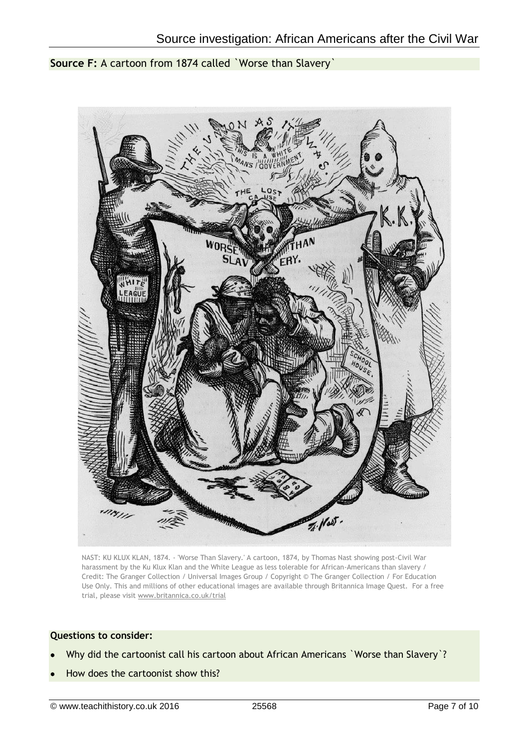**Source F:** A cartoon from 1874 called `Worse than Slavery`



NAST: KU KLUX KLAN, 1874. - 'Worse Than Slavery.' A cartoon, 1874, by Thomas Nast showing post-Civil War harassment by the Ku Klux Klan and the White League as less tolerable for African-Americans than slavery / Credit: The Granger Collection / Universal Images Group / Copyright © The Granger Collection / For Education Use Only. This and millions of other educational images are available through Britannica Image Quest. For a free trial, please visit [www.britannica.co.uk/trial](http://www.britannica.co.uk/trial)

- Why did the cartoonist call his cartoon about African Americans `Worse than Slavery`?
- How does the cartoonist show this?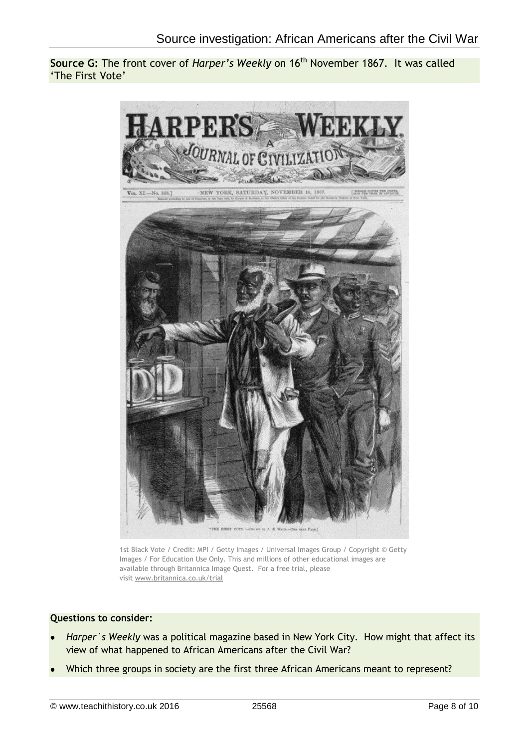**Source G:** The front cover of *Harper's Weekly* on 16<sup>th</sup> November 1867. It was called 'The First Vote'



1st Black Vote / Credit: MPI / Getty Images / Universal Images Group / Copyright © Getty Images / For Education Use Only. This and millions of other educational images are available through Britannica Image Quest. For a free trial, please visit [www.britannica.co.uk/trial](http://www.britannica.co.uk/trial)

- *Harper`s Weekly* was a political magazine based in New York City. How might that affect its view of what happened to African Americans after the Civil War?
- Which three groups in society are the first three African Americans meant to represent?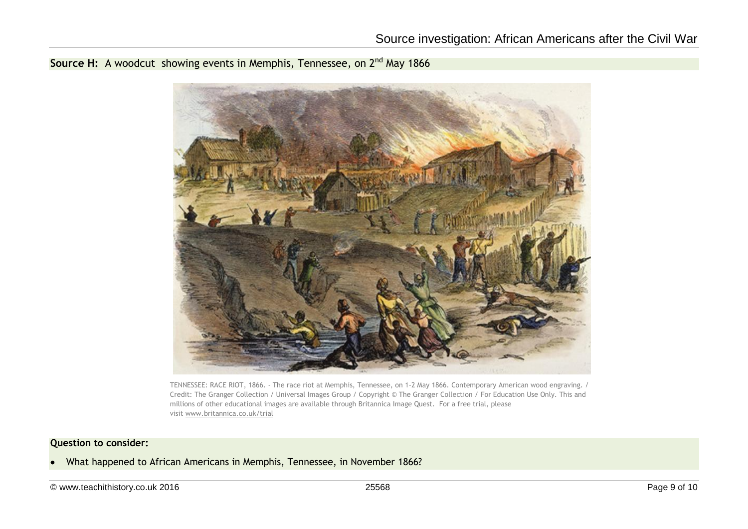**Source H:** A woodcut showing events in Memphis, Tennessee, on 2<sup>nd</sup> May 1866



TENNESSEE: RACE RIOT, 1866. - The race riot at Memphis, Tennessee, on 1-2 May 1866. Contemporary American wood engraving. / Credit: The Granger Collection / Universal Images Group / Copyright © The Granger Collection / For Education Use Only. This and millions of other educational images are available through Britannica Image Quest. For a free trial, please visit [www.britannica.co.uk/trial](http://www.britannica.co.uk/trial)

### **Question to consider:**

• What happened to African Americans in Memphis, Tennessee, in November 1866?